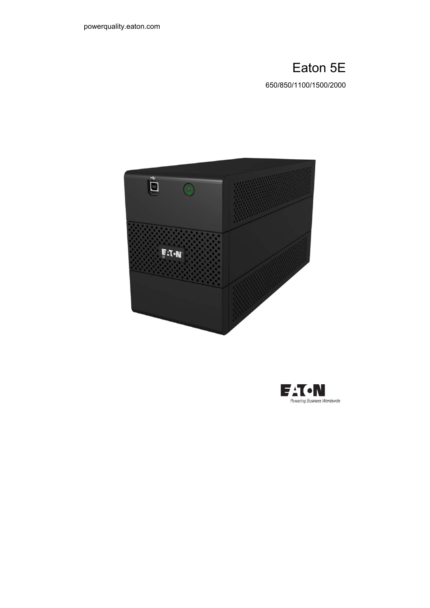# Eaton 5E

650/850/1100/1500/2000



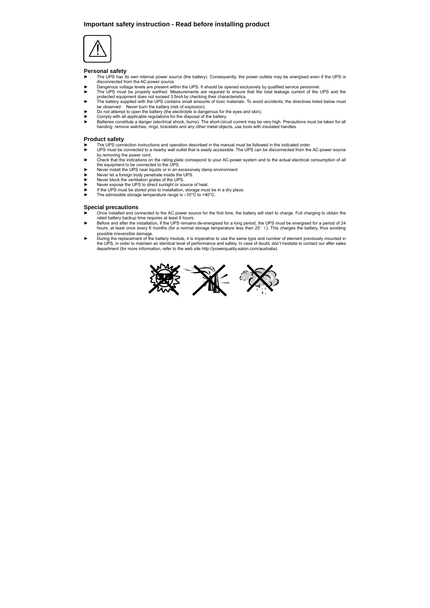### **Important safety instruction - Read before installing product**



#### **Personal safety**

- The UPS has its own internal power source (the battery). Consequently, the power outlets may be energised even if the UPS is disconnected from the AC-power source.
- ► Dangerous voltage levels are present within the UPS. It should be opened exclusively by qualified service personnel.<br>► The UPS must be properly earthed. Measurements are required to ensure that the total leakage current
- protected equipment does not exceed 3.5mA by checking their characteristics. ► The battery supplied with the UPS contains small amounts of toxic materials. To avoid accidents, the directives listed below must
- be observed: Never burn the battery (risk of explosion).<br>► Do not attempt to open the battery (the electrolyte is dangerous for the eyes and skin).
- Comply with all applicable regulations for the disposal of the battery.
- ► Batteries constitute a danger (electrical shock, burns). The short-circuit current may be very high. Precautions must be taken for all handing: remove watches, rings, bracelets and any other metal objects, use tools with insulated handles.

## **Product safety**

- The UPS connection instructions and operation described in the manual must be followed in the indicated order.<br>
UPS must be connected to a nearby wall outlet that is easily accessible. The UPS can be disconnected from the
- by removing the power cord.<br>► Check that the indications on the rating plate correspond to your AC-power system and to the actual electrical consumption of all<br>the equipment to be connected to the UPS.
- who equipment to be connected to the end of the CPS.
- 
- 
- ► Never let a foreign body penetrate inside the UPS.<br>
► Never block the ventilation grates of the UPS.<br>
Never expose the UPS to direct sunlight or source of heat.<br>
► If the UPS must be stored prior to installation, storag
- 

#### **Special precautions**

- ► Once installed and connected to the AC power source for the first time, the battery will start to charge. Full charging to obtain the rated battery backup time requires at least 8 hours.<br>► Before and after the installation, if the UPS remains de-energised for a long period, the UPS must be energised for a period of 24
- hours, at least once every 6 months (for a normal storage temperature less than 25°C). This charges the battery, thus avoiding possible irreversible damage.
- ► During the replacement of the battery module, it is imperative to use the same type and number of element previously mounted in the UPS, in order to maintain an identical level of performance and safety. In case of doubt, don't hesitate to contact our after sales department (for more information, refer to the web site http://powerquality.eaton.com/australia).

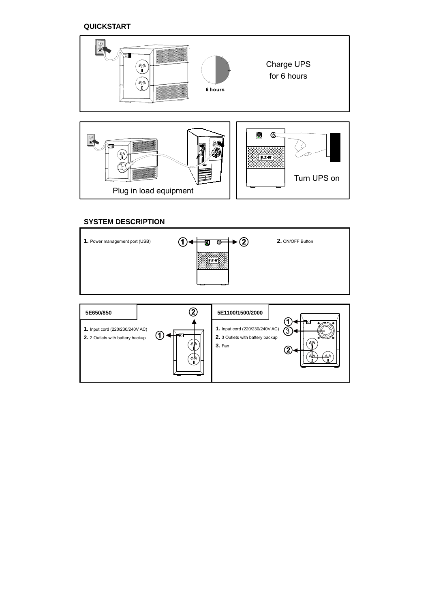**QUICKSTART** 



# **SYSTEM DESCRIPTION**